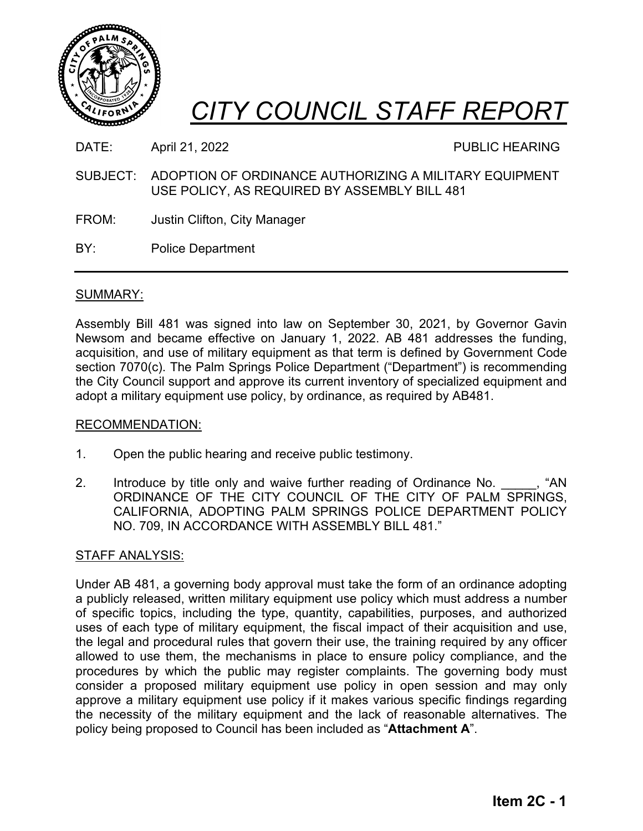



DATE: April 21, 2022 **PUBLIC HEARING** 

- SUBJECT: ADOPTION OF ORDINANCE AUTHORIZING A MILITARY EQUIPMENT USE POLICY, AS REQUIRED BY ASSEMBLY BILL 481
- FROM: Justin Clifton, City Manager
- BY: Police Department

# SUMMARY:

Assembly Bill 481 was signed into law on September 30, 2021, by Governor Gavin Newsom and became effective on January 1, 2022. AB 481 addresses the funding, acquisition, and use of military equipment as that term is defined by Government Code section 7070(c). The Palm Springs Police Department ("Department") is recommending the City Council support and approve its current inventory of specialized equipment and adopt a military equipment use policy, by ordinance, as required by AB481.

# RECOMMENDATION:

- 1. Open the public hearing and receive public testimony.
- 2. Introduce by title only and waive further reading of Ordinance No.  $\cdots$ , "AN ORDINANCE OF THE CITY COUNCIL OF THE CITY OF PALM SPRINGS, CALIFORNIA, ADOPTING PALM SPRINGS POLICE DEPARTMENT POLICY NO. 709, IN ACCORDANCE WITH ASSEMBLY BILL 481."

# STAFF ANALYSIS:

Under AB 481, a governing body approval must take the form of an ordinance adopting a publicly released, written military equipment use policy which must address a number of specific topics, including the type, quantity, capabilities, purposes, and authorized uses of each type of military equipment, the fiscal impact of their acquisition and use, the legal and procedural rules that govern their use, the training required by any officer allowed to use them, the mechanisms in place to ensure policy compliance, and the procedures by which the public may register complaints. The governing body must consider a proposed military equipment use policy in open session and may only approve a military equipment use policy if it makes various specific findings regarding the necessity of the military equipment and the lack of reasonable alternatives. The policy being proposed to Council has been included as "**Attachment A**".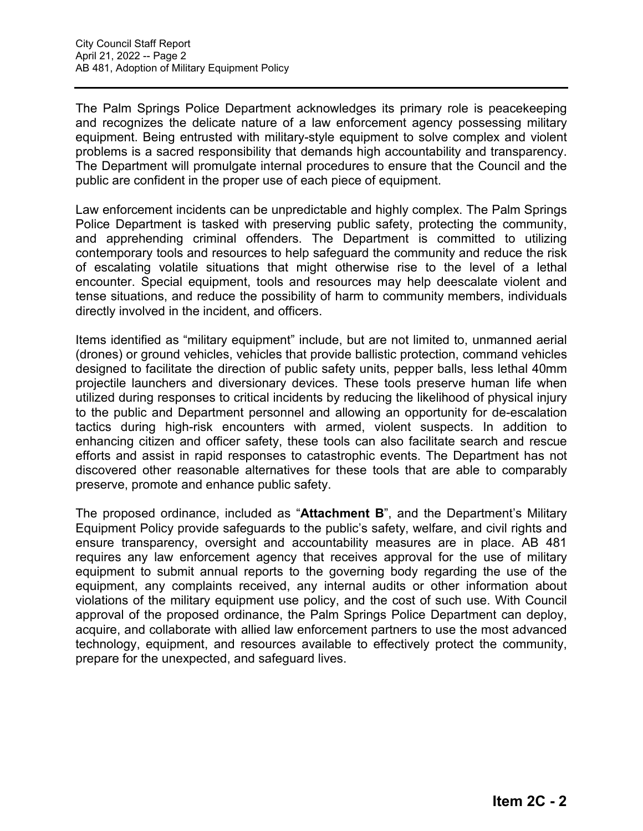The Palm Springs Police Department acknowledges its primary role is peacekeeping and recognizes the delicate nature of a law enforcement agency possessing military equipment. Being entrusted with military-style equipment to solve complex and violent problems is a sacred responsibility that demands high accountability and transparency. The Department will promulgate internal procedures to ensure that the Council and the public are confident in the proper use of each piece of equipment.

Law enforcement incidents can be unpredictable and highly complex. The Palm Springs Police Department is tasked with preserving public safety, protecting the community, and apprehending criminal offenders. The Department is committed to utilizing contemporary tools and resources to help safeguard the community and reduce the risk of escalating volatile situations that might otherwise rise to the level of a lethal encounter. Special equipment, tools and resources may help deescalate violent and tense situations, and reduce the possibility of harm to community members, individuals directly involved in the incident, and officers.

Items identified as "military equipment" include, but are not limited to, unmanned aerial (drones) or ground vehicles, vehicles that provide ballistic protection, command vehicles designed to facilitate the direction of public safety units, pepper balls, less lethal 40mm projectile launchers and diversionary devices. These tools preserve human life when utilized during responses to critical incidents by reducing the likelihood of physical injury to the public and Department personnel and allowing an opportunity for de-escalation tactics during high-risk encounters with armed, violent suspects. In addition to enhancing citizen and officer safety, these tools can also facilitate search and rescue efforts and assist in rapid responses to catastrophic events. The Department has not discovered other reasonable alternatives for these tools that are able to comparably preserve, promote and enhance public safety.

The proposed ordinance, included as "**Attachment B**", and the Department's Military Equipment Policy provide safeguards to the public's safety, welfare, and civil rights and ensure transparency, oversight and accountability measures are in place. AB 481 requires any law enforcement agency that receives approval for the use of military equipment to submit annual reports to the governing body regarding the use of the equipment, any complaints received, any internal audits or other information about violations of the military equipment use policy, and the cost of such use. With Council approval of the proposed ordinance, the Palm Springs Police Department can deploy, acquire, and collaborate with allied law enforcement partners to use the most advanced technology, equipment, and resources available to effectively protect the community, prepare for the unexpected, and safeguard lives.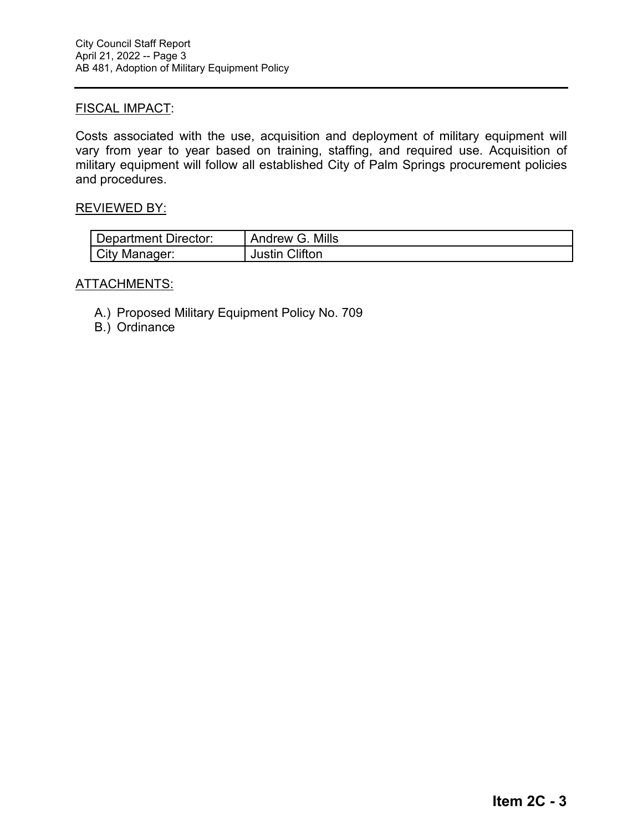# FISCAL IMPACT:

Costs associated with the use, acquisition and deployment of military equipment will vary from year to year based on training, staffing, and required use. Acquisition of military equipment will follow all established City of Palm Springs procurement policies and procedures.

### REVIEWED BY:

| Department Director: | Andrew G. Mills |
|----------------------|-----------------|
| City Manager:        | Justin Clifton  |

# ATTACHMENTS:

- A.) Proposed Military Equipment Policy No. 709
- B.) Ordinance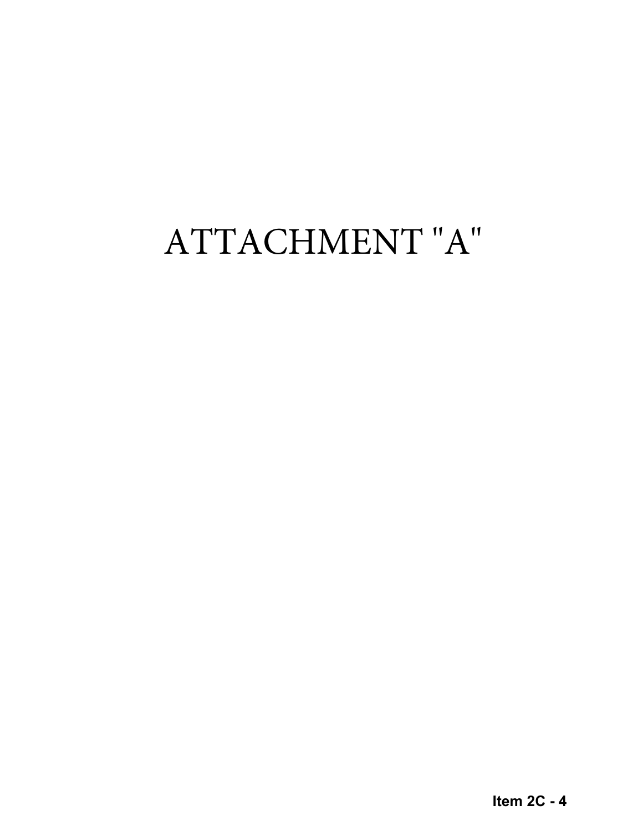# ATTACHMENT "A"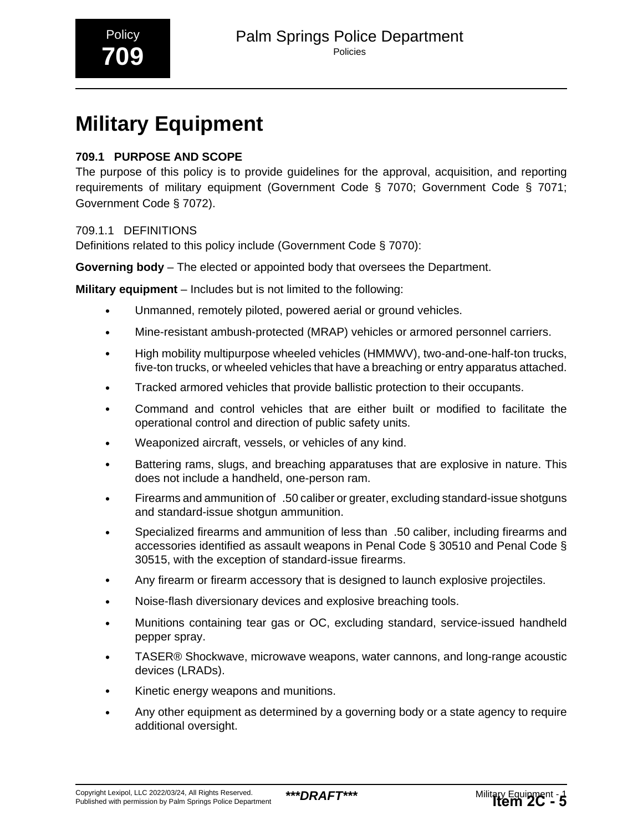# **Military Equipment**

# **709.1 PURPOSE AND SCOPE**

The purpose of this policy is to provide guidelines for the approval, acquisition, and reporting requirements of military equipment (Government Code § 7070; Government Code § 7071; Government Code § 7072).

# 709.1.1 DEFINITIONS

Definitions related to this policy include (Government Code § 7070):

**Governing body** – The elected or appointed body that oversees the Department.

**Military equipment** – Includes but is not limited to the following:

- Unmanned, remotely piloted, powered aerial or ground vehicles.
- Mine-resistant ambush-protected (MRAP) vehicles or armored personnel carriers.
- High mobility multipurpose wheeled vehicles (HMMWV), two-and-one-half-ton trucks, five-ton trucks, or wheeled vehicles that have a breaching or entry apparatus attached.
- Tracked armored vehicles that provide ballistic protection to their occupants.
- Command and control vehicles that are either built or modified to facilitate the operational control and direction of public safety units.
- Weaponized aircraft, vessels, or vehicles of any kind.
- Battering rams, slugs, and breaching apparatuses that are explosive in nature. This does not include a handheld, one-person ram.
- Firearms and ammunition of\_.50 caliber or greater, excluding standard-issue shotguns and standard-issue shotgun ammunition.
- Specialized firearms and ammunition of less than\_.50 caliber, including firearms and accessories identified as assault weapons in Penal Code § 30510 and Penal Code § 30515, with the exception of standard-issue firearms.
- Any firearm or firearm accessory that is designed to launch explosive projectiles.
- Noise-flash diversionary devices and explosive breaching tools.
- Munitions containing tear gas or OC, excluding standard, service-issued handheld pepper spray.
- TASER® Shockwave, microwave weapons, water cannons, and long-range acoustic devices (LRADs).
- Kinetic energy weapons and munitions.
- Any other equipment as determined by a governing body or a state agency to require additional oversight.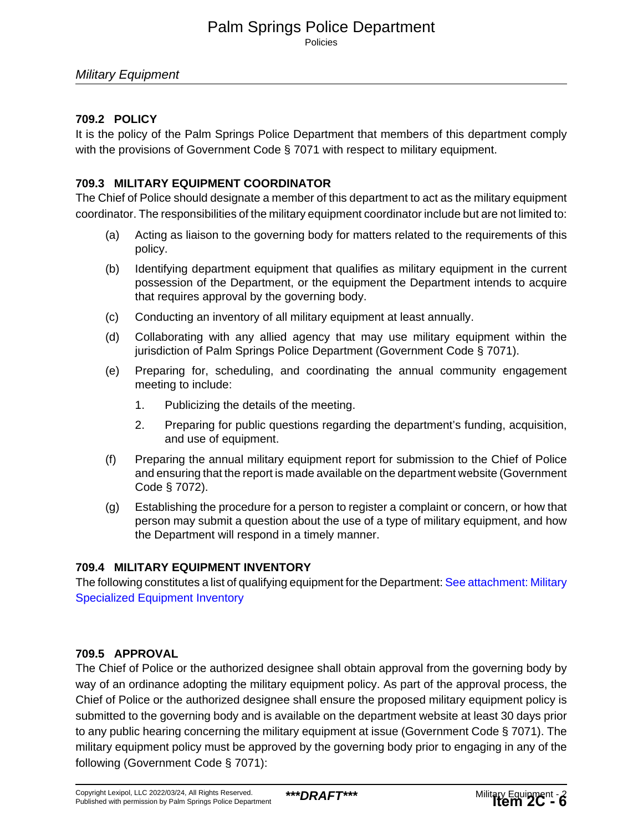# Palm Springs Police Department Policies

# Military Equipment

# **709.2 POLICY**

It is the policy of the Palm Springs Police Department that members of this department comply with the provisions of Government Code § 7071 with respect to military equipment.

# **709.3 MILITARY EQUIPMENT COORDINATOR**

The Chief of Police should designate a member of this department to act as the military equipment coordinator. The responsibilities of the military equipment coordinator include but are not limited to:

- (a) Acting as liaison to the governing body for matters related to the requirements of this policy.
- (b) Identifying department equipment that qualifies as military equipment in the current possession of the Department, or the equipment the Department intends to acquire that requires approval by the governing body.
- (c) Conducting an inventory of all military equipment at least annually.
- (d) Collaborating with any allied agency that may use military equipment within the jurisdiction of Palm Springs Police Department (Government Code § 7071).
- (e) Preparing for, scheduling, and coordinating the annual community engagement meeting to include:
	- 1. Publicizing the details of the meeting.
	- 2. Preparing for public questions regarding the department's funding, acquisition, and use of equipment.
- (f) Preparing the annual military equipment report for submission to the Chief of Police and ensuring that the report is made available on the department website (Government Code § 7072).
- (g) Establishing the procedure for a person to register a complaint or concern, or how that person may submit a question about the use of a type of military equipment, and how the Department will respond in a timely manner.

# **709.4 MILITARY EQUIPMENT INVENTORY**

The following constitutes a list of qualifying equipment for the Department: [See attachment: Military](#page-9-0) [Specialized Equipment Inventory](#page-9-0)

# **709.5 APPROVAL**

The Chief of Police or the authorized designee shall obtain approval from the governing body by way of an ordinance adopting the military equipment policy. As part of the approval process, the Chief of Police or the authorized designee shall ensure the proposed military equipment policy is submitted to the governing body and is available on the department website at least 30 days prior to any public hearing concerning the military equipment at issue (Government Code § 7071). The military equipment policy must be approved by the governing body prior to engaging in any of the following (Government Code § 7071):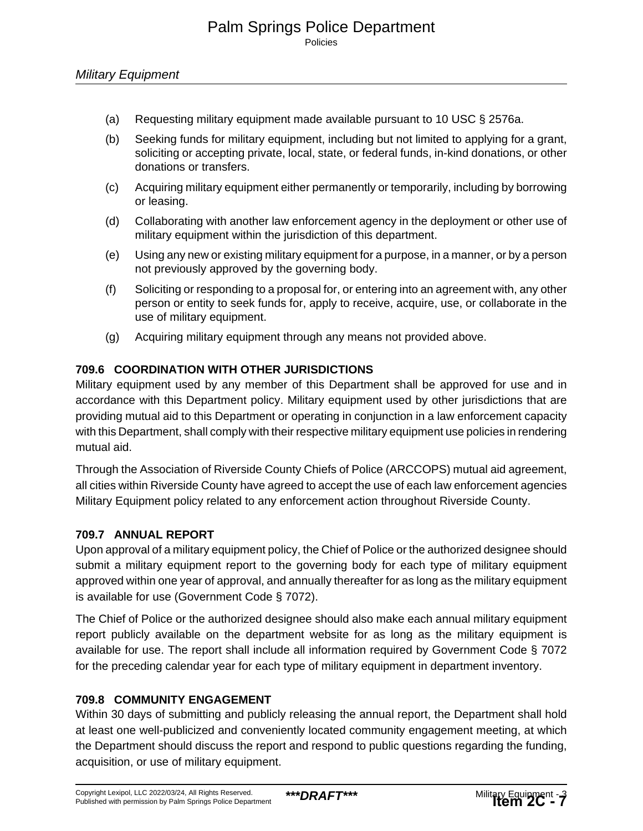- (a) Requesting military equipment made available pursuant to 10 USC § 2576a.
- (b) Seeking funds for military equipment, including but not limited to applying for a grant, soliciting or accepting private, local, state, or federal funds, in-kind donations, or other donations or transfers.
- (c) Acquiring military equipment either permanently or temporarily, including by borrowing or leasing.
- (d) Collaborating with another law enforcement agency in the deployment or other use of military equipment within the jurisdiction of this department.
- (e) Using any new or existing military equipment for a purpose, in a manner, or by a person not previously approved by the governing body.
- (f) Soliciting or responding to a proposal for, or entering into an agreement with, any other person or entity to seek funds for, apply to receive, acquire, use, or collaborate in the use of military equipment.
- (g) Acquiring military equipment through any means not provided above.

# **709.6 COORDINATION WITH OTHER JURISDICTIONS**

Military equipment used by any member of this Department shall be approved for use and in accordance with this Department policy. Military equipment used by other jurisdictions that are providing mutual aid to this Department or operating in conjunction in a law enforcement capacity with this Department, shall comply with their respective military equipment use policies in rendering mutual aid.

Through the Association of Riverside County Chiefs of Police (ARCCOPS) mutual aid agreement, all cities within Riverside County have agreed to accept the use of each law enforcement agencies Military Equipment policy related to any enforcement action throughout Riverside County.

# **709.7 ANNUAL REPORT**

Upon approval of a military equipment policy, the Chief of Police or the authorized designee should submit a military equipment report to the governing body for each type of military equipment approved within one year of approval, and annually thereafter for as long as the military equipment is available for use (Government Code § 7072).

The Chief of Police or the authorized designee should also make each annual military equipment report publicly available on the department website for as long as the military equipment is available for use. The report shall include all information required by Government Code § 7072 for the preceding calendar year for each type of military equipment in department inventory.

# **709.8 COMMUNITY ENGAGEMENT**

Within 30 days of submitting and publicly releasing the annual report, the Department shall hold at least one well-publicized and conveniently located community engagement meeting, at which the Department should discuss the report and respond to public questions regarding the funding, acquisition, or use of military equipment.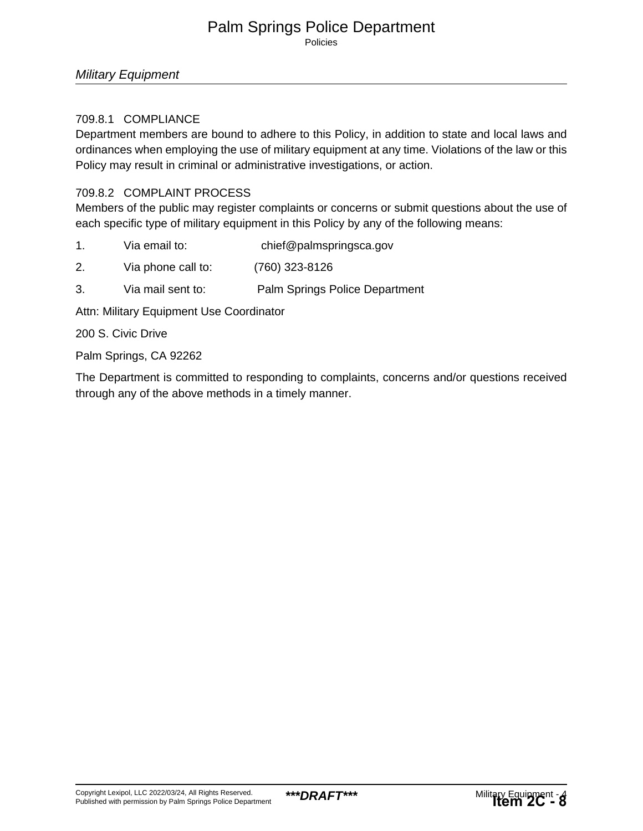# Palm Springs Police Department Policies

### Military Equipment

### 709.8.1 COMPLIANCE

Department members are bound to adhere to this Policy, in addition to state and local laws and ordinances when employing the use of military equipment at any time. Violations of the law or this Policy may result in criminal or administrative investigations, or action.

### 709.8.2 COMPLAINT PROCESS

Members of the public may register complaints or concerns or submit questions about the use of each specific type of military equipment in this Policy by any of the following means:

- 1. Via email to: chief@palmspringsca.gov
- 2. Via phone call to: (760) 323-8126
- 3. Via mail sent to: Palm Springs Police Department

Attn: Military Equipment Use Coordinator

200 S. Civic Drive

Palm Springs, CA 92262

The Department is committed to responding to complaints, concerns and/or questions received through any of the above methods in a timely manner.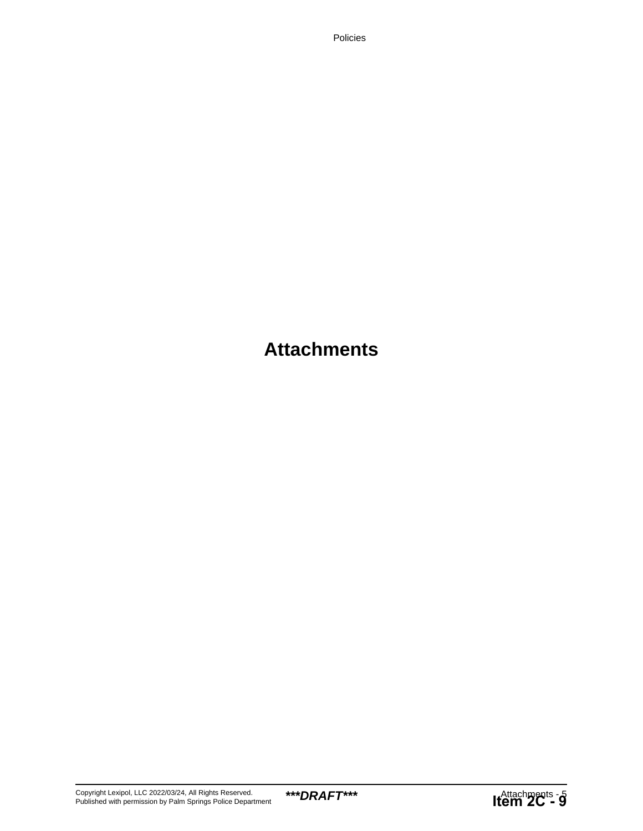Policies

# **Attachments**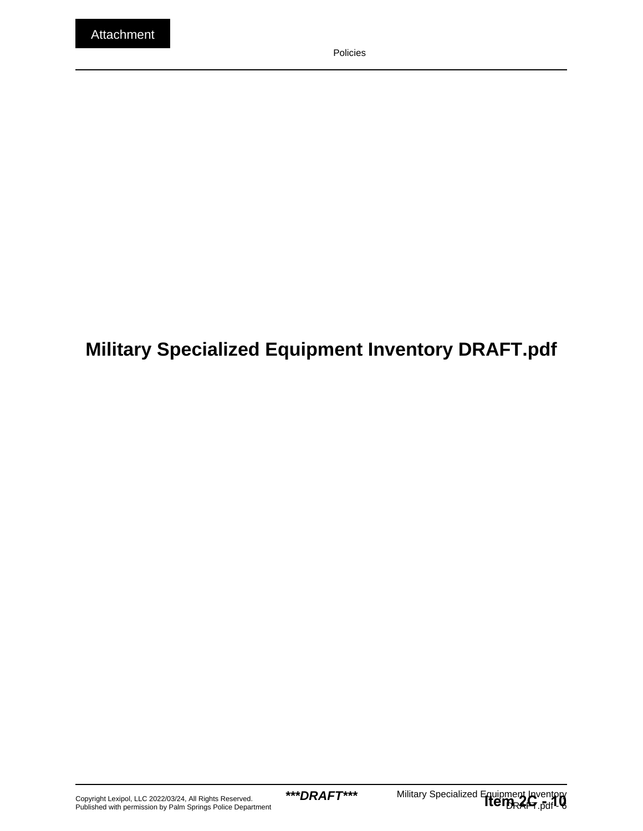# <span id="page-9-0"></span>**Military Specialized Equipment Inventory DRAFT.pdf**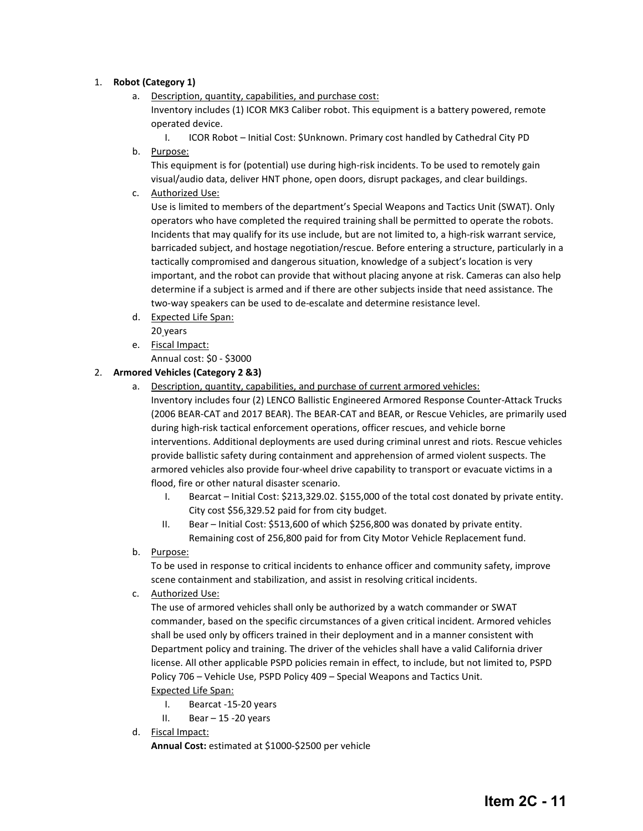#### 1. **Robot (Category 1)**

- a. Description, quantity, capabilities, and purchase cost: Inventory includes (1) ICOR MK3 Caliber robot. This equipment is a battery powered, remote operated device.
- I. ICOR Robot Initial Cost: \$Unknown. Primary cost handled by Cathedral City PD b. Purpose:

This equipment is for (potential) use during high-risk incidents. To be used to remotely gain visual/audio data, deliver HNT phone, open doors, disrupt packages, and clear buildings.

c. Authorized Use:

Use is limited to members of the department's Special Weapons and Tactics Unit (SWAT). Only operators who have completed the required training shall be permitted to operate the robots. Incidents that may qualify for its use include, but are not limited to, a high-risk warrant service, barricaded subject, and hostage negotiation/rescue. Before entering a structure, particularly in a tactically compromised and dangerous situation, knowledge of a subject's location is very important, and the robot can provide that without placing anyone at risk. Cameras can also help determine if a subject is armed and if there are other subjects inside that need assistance. The two-way speakers can be used to de-escalate and determine resistance level.

- d. Expected Life Span: 20 years
- e. Fiscal Impact:

Annual cost: \$0 - \$3000

#### 2. **Armored Vehicles (Category 2 &3)**

a. Description, quantity, capabilities, and purchase of current armored vehicles:

Inventory includes four (2) LENCO Ballistic Engineered Armored Response Counter-Attack Trucks (2006 BEAR-CAT and 2017 BEAR). The BEAR-CAT and BEAR, or Rescue Vehicles, are primarily used during high-risk tactical enforcement operations, officer rescues, and vehicle borne interventions. Additional deployments are used during criminal unrest and riots. Rescue vehicles provide ballistic safety during containment and apprehension of armed violent suspects. The armored vehicles also provide four-wheel drive capability to transport or evacuate victims in a flood, fire or other natural disaster scenario.

- I. Bearcat Initial Cost: \$213,329.02. \$155,000 of the total cost donated by private entity. City cost \$56,329.52 paid for from city budget.
- II. Bear Initial Cost: \$513,600 of which \$256,800 was donated by private entity. Remaining cost of 256,800 paid for from City Motor Vehicle Replacement fund.
- b. Purpose:

To be used in response to critical incidents to enhance officer and community safety, improve scene containment and stabilization, and assist in resolving critical incidents.

c. Authorized Use:

The use of armored vehicles shall only be authorized by a watch commander or SWAT commander, based on the specific circumstances of a given critical incident. Armored vehicles shall be used only by officers trained in their deployment and in a manner consistent with Department policy and training. The driver of the vehicles shall have a valid California driver license. All other applicable PSPD policies remain in effect, to include, but not limited to, PSPD Policy 706 – Vehicle Use, PSPD Policy 409 – Special Weapons and Tactics Unit. Expected Life Span:

- I. Bearcat -15-20 years
- II. Bear  $-15 20$  years
- d. Fiscal Impact:

**Annual Cost:** estimated at \$1000-\$2500 per vehicle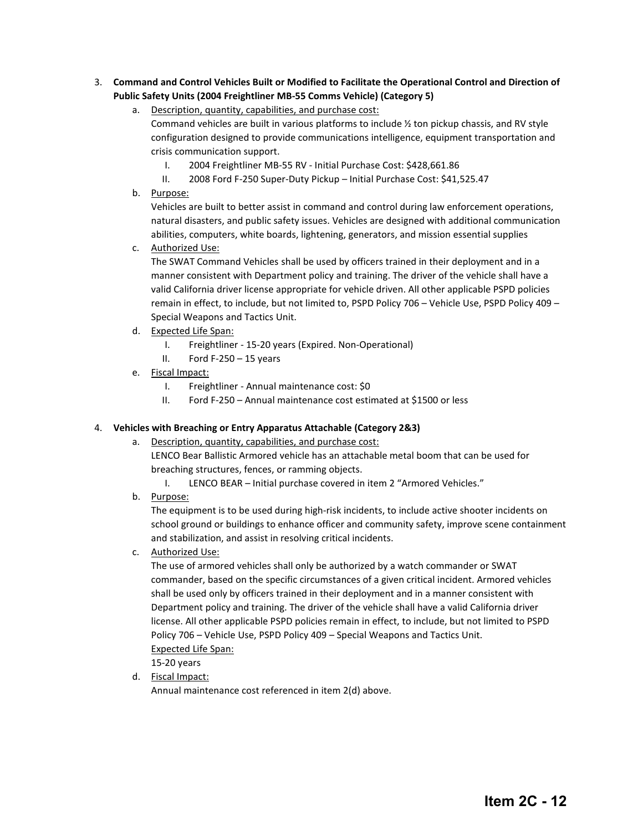#### 3. **Command and Control Vehicles Built or Modified to Facilitate the Operational Control and Direction of Public Safety Units (2004 Freightliner MB-55 Comms Vehicle) (Category 5)**

- a. Description, quantity, capabilities, and purchase cost: Command vehicles are built in various platforms to include ½ ton pickup chassis, and RV style configuration designed to provide communications intelligence, equipment transportation and crisis communication support.
	- I. 2004 Freightliner MB-55 RV Initial Purchase Cost: \$428,661.86
	- II. 2008 Ford F-250 Super-Duty Pickup Initial Purchase Cost: \$41,525.47
- b. Purpose:

Vehicles are built to better assist in command and control during law enforcement operations, natural disasters, and public safety issues. Vehicles are designed with additional communication abilities, computers, white boards, lightening, generators, and mission essential supplies

c. Authorized Use:

The SWAT Command Vehicles shall be used by officers trained in their deployment and in a manner consistent with Department policy and training. The driver of the vehicle shall have a valid California driver license appropriate for vehicle driven. All other applicable PSPD policies remain in effect, to include, but not limited to, PSPD Policy 706 – Vehicle Use, PSPD Policy 409 – Special Weapons and Tactics Unit.

- d. Expected Life Span:
	- I. Freightliner 15-20 years (Expired. Non-Operational)
	- II. Ford  $F-250-15$  years
- e. Fiscal Impact:
	- I. Freightliner Annual maintenance cost: \$0
	- II. Ford F-250 Annual maintenance cost estimated at \$1500 or less

#### 4. **Vehicles with Breaching or Entry Apparatus Attachable (Category 2&3)**

- a. Description, quantity, capabilities, and purchase cost: LENCO Bear Ballistic Armored vehicle has an attachable metal boom that can be used for breaching structures, fences, or ramming objects.
	- I. LENCO BEAR Initial purchase covered in item 2 "Armored Vehicles."
- b. Purpose:

The equipment is to be used during high-risk incidents, to include active shooter incidents on school ground or buildings to enhance officer and community safety, improve scene containment and stabilization, and assist in resolving critical incidents.

c. Authorized Use:

The use of armored vehicles shall only be authorized by a watch commander or SWAT commander, based on the specific circumstances of a given critical incident. Armored vehicles shall be used only by officers trained in their deployment and in a manner consistent with Department policy and training. The driver of the vehicle shall have a valid California driver license. All other applicable PSPD policies remain in effect, to include, but not limited to PSPD Policy 706 – Vehicle Use, PSPD Policy 409 – Special Weapons and Tactics Unit. Expected Life Span:

15-20 years

d. Fiscal Impact:

Annual maintenance cost referenced in item 2(d) above.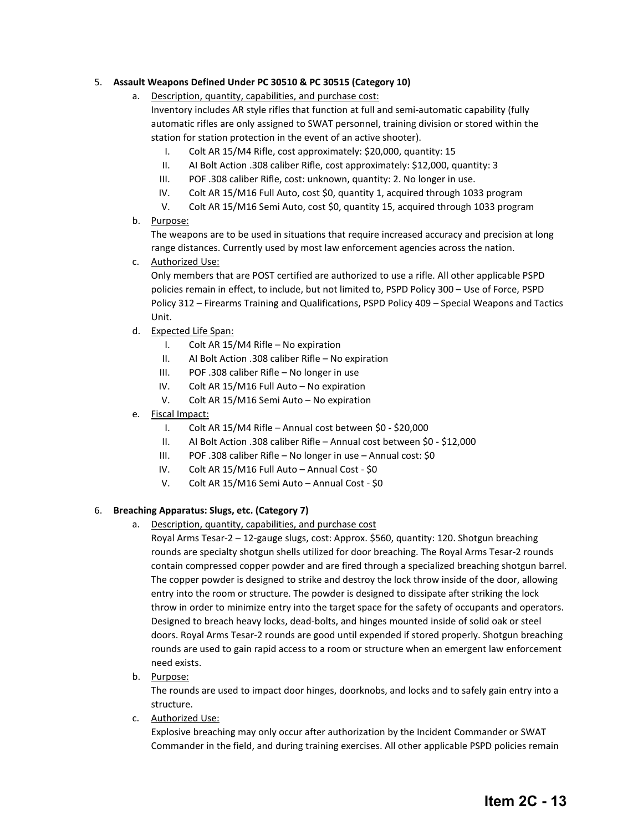#### 5. **Assault Weapons Defined Under PC 30510 & PC 30515 (Category 10)**

- a. Description, quantity, capabilities, and purchase cost: Inventory includes AR style rifles that function at full and semi-automatic capability (fully automatic rifles are only assigned to SWAT personnel, training division or stored within the station for station protection in the event of an active shooter).
	- I. Colt AR 15/M4 Rifle, cost approximately: \$20,000, quantity: 15
	- II. AI Bolt Action .308 caliber Rifle, cost approximately: \$12,000, quantity: 3
	- III. POF .308 caliber Rifle, cost: unknown, quantity: 2. No longer in use.
	- IV. Colt AR 15/M16 Full Auto, cost \$0, quantity 1, acquired through 1033 program
	- V. Colt AR 15/M16 Semi Auto, cost \$0, quantity 15, acquired through 1033 program
- b. Purpose:

The weapons are to be used in situations that require increased accuracy and precision at long range distances. Currently used by most law enforcement agencies across the nation.

c. Authorized Use:

Only members that are POST certified are authorized to use a rifle. All other applicable PSPD policies remain in effect, to include, but not limited to, PSPD Policy 300 – Use of Force, PSPD Policy 312 – Firearms Training and Qualifications, PSPD Policy 409 – Special Weapons and Tactics Unit.

- d. Expected Life Span:
	- I. Colt AR 15/M4 Rifle No expiration
	- II. AI Bolt Action .308 caliber Rifle No expiration
	- III. POF .308 caliber Rifle No longer in use
	- IV. Colt AR 15/M16 Full Auto No expiration
	- V. Colt AR 15/M16 Semi Auto No expiration
- e. Fiscal Impact:
	- I. Colt AR 15/M4 Rifle Annual cost between \$0 \$20,000
	- II. AI Bolt Action .308 caliber Rifle Annual cost between \$0 \$12,000
	- III. POF .308 caliber Rifle No longer in use Annual cost: \$0
	- IV. Colt AR 15/M16 Full Auto Annual Cost \$0
	- V. Colt AR 15/M16 Semi Auto Annual Cost \$0

#### 6. **Breaching Apparatus: Slugs, etc. (Category 7)**

a. Description, quantity, capabilities, and purchase cost

Royal Arms Tesar-2 – 12-gauge slugs, cost: Approx. \$560, quantity: 120. Shotgun breaching rounds are specialty shotgun shells utilized for door breaching. The Royal Arms Tesar-2 rounds contain compressed copper powder and are fired through a specialized breaching shotgun barrel. The copper powder is designed to strike and destroy the lock throw inside of the door, allowing entry into the room or structure. The powder is designed to dissipate after striking the lock throw in order to minimize entry into the target space for the safety of occupants and operators. Designed to breach heavy locks, dead-bolts, and hinges mounted inside of solid oak or steel doors. Royal Arms Tesar-2 rounds are good until expended if stored properly. Shotgun breaching rounds are used to gain rapid access to a room or structure when an emergent law enforcement need exists.

b. Purpose:

The rounds are used to impact door hinges, doorknobs, and locks and to safely gain entry into a structure.

c. Authorized Use:

Explosive breaching may only occur after authorization by the Incident Commander or SWAT Commander in the field, and during training exercises. All other applicable PSPD policies remain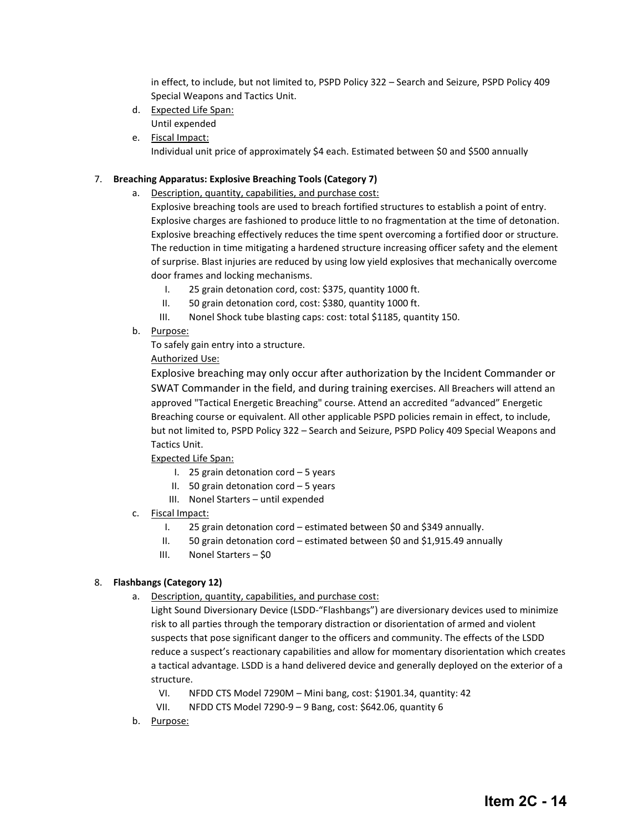in effect, to include, but not limited to, PSPD Policy 322 – Search and Seizure, PSPD Policy 409 Special Weapons and Tactics Unit.

- d. Expected Life Span: Until expended
- e. Fiscal Impact: Individual unit price of approximately \$4 each. Estimated between \$0 and \$500 annually

#### 7. **Breaching Apparatus: Explosive Breaching Tools (Category 7)**

a. Description, quantity, capabilities, and purchase cost:

Explosive breaching tools are used to breach fortified structures to establish a point of entry. Explosive charges are fashioned to produce little to no fragmentation at the time of detonation. Explosive breaching effectively reduces the time spent overcoming a fortified door or structure. The reduction in time mitigating a hardened structure increasing officer safety and the element of surprise. Blast injuries are reduced by using low yield explosives that mechanically overcome door frames and locking mechanisms.

- I. 25 grain detonation cord, cost: \$375, quantity 1000 ft.
- II. 50 grain detonation cord, cost: \$380, quantity 1000 ft.
- III. Nonel Shock tube blasting caps: cost: total \$1185, quantity 150.
- b. Purpose:

To safely gain entry into a structure.

Authorized Use:

Explosive breaching may only occur after authorization by the Incident Commander or SWAT Commander in the field, and during training exercises. All Breachers will attend an approved "Tactical Energetic Breaching" course. Attend an accredited "advanced" Energetic Breaching course or equivalent. All other applicable PSPD policies remain in effect, to include, but not limited to, PSPD Policy 322 – Search and Seizure, PSPD Policy 409 Special Weapons and Tactics Unit.

Expected Life Span:

- I. 25 grain detonation cord 5 years
- II. 50 grain detonation cord 5 years
- III. Nonel Starters until expended
- c. Fiscal Impact:
	- I. 25 grain detonation cord estimated between \$0 and \$349 annually.
	- II. 50 grain detonation cord estimated between \$0 and \$1,915.49 annually
	- III. Nonel Starters \$0

#### 8. **Flashbangs (Category 12)**

a. Description, quantity, capabilities, and purchase cost:

Light Sound Diversionary Device (LSDD-"Flashbangs") are diversionary devices used to minimize risk to all parties through the temporary distraction or disorientation of armed and violent suspects that pose significant danger to the officers and community. The effects of the LSDD reduce a suspect's reactionary capabilities and allow for momentary disorientation which creates a tactical advantage. LSDD is a hand delivered device and generally deployed on the exterior of a structure.

- VI. NFDD CTS Model 7290M Mini bang, cost: \$1901.34, quantity: 42
- VII. NFDD CTS Model 7290-9 9 Bang, cost: \$642.06, quantity 6
- b. Purpose: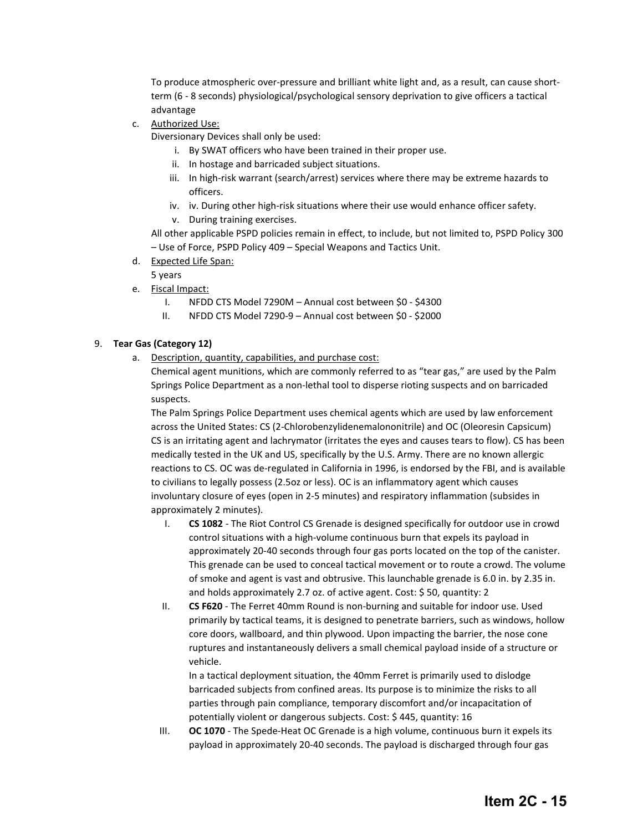To produce atmospheric over-pressure and brilliant white light and, as a result, can cause shortterm (6 - 8 seconds) physiological/psychological sensory deprivation to give officers a tactical advantage

c. Authorized Use:

Diversionary Devices shall only be used:

- i. By SWAT officers who have been trained in their proper use.
- ii. In hostage and barricaded subject situations.
- iii. In high-risk warrant (search/arrest) services where there may be extreme hazards to officers.
- iv. iv. During other high-risk situations where their use would enhance officer safety.
- v. During training exercises.

All other applicable PSPD policies remain in effect, to include, but not limited to, PSPD Policy 300 – Use of Force, PSPD Policy 409 – Special Weapons and Tactics Unit.

- d. Expected Life Span:
	- 5 years
- e. Fiscal Impact:
	- I. NFDD CTS Model 7290M Annual cost between \$0 \$4300
	- II. NFDD CTS Model 7290-9 Annual cost between \$0 \$2000

#### 9. **Tear Gas (Category 12)**

a. Description, quantity, capabilities, and purchase cost:

Chemical agent munitions, which are commonly referred to as "tear gas," are used by the Palm Springs Police Department as a non-lethal tool to disperse rioting suspects and on barricaded suspects.

The Palm Springs Police Department uses chemical agents which are used by law enforcement across the United States: CS (2-Chlorobenzylidenemalononitrile) and OC (Oleoresin Capsicum) CS is an irritating agent and lachrymator (irritates the eyes and causes tears to flow). CS has been medically tested in the UK and US, specifically by the U.S. Army. There are no known allergic reactions to CS. OC was de-regulated in California in 1996, is endorsed by the FBI, and is available to civilians to legally possess (2.5oz or less). OC is an inflammatory agent which causes involuntary closure of eyes (open in 2-5 minutes) and respiratory inflammation (subsides in approximately 2 minutes).

- I. **CS 1082** The Riot Control CS Grenade is designed specifically for outdoor use in crowd control situations with a high-volume continuous burn that expels its payload in approximately 20-40 seconds through four gas ports located on the top of the canister. This grenade can be used to conceal tactical movement or to route a crowd. The volume of smoke and agent is vast and obtrusive. This launchable grenade is 6.0 in. by 2.35 in. and holds approximately 2.7 oz. of active agent. Cost: \$ 50, quantity: 2
- II. **CS F620**  The Ferret 40mm Round is non-burning and suitable for indoor use. Used primarily by tactical teams, it is designed to penetrate barriers, such as windows, hollow core doors, wallboard, and thin plywood. Upon impacting the barrier, the nose cone ruptures and instantaneously delivers a small chemical payload inside of a structure or vehicle.

In a tactical deployment situation, the 40mm Ferret is primarily used to dislodge barricaded subjects from confined areas. Its purpose is to minimize the risks to all parties through pain compliance, temporary discomfort and/or incapacitation of potentially violent or dangerous subjects. Cost: \$ 445, quantity: 16

III. **OC 1070** - The Spede-Heat OC Grenade is a high volume, continuous burn it expels its payload in approximately 20-40 seconds. The payload is discharged through four gas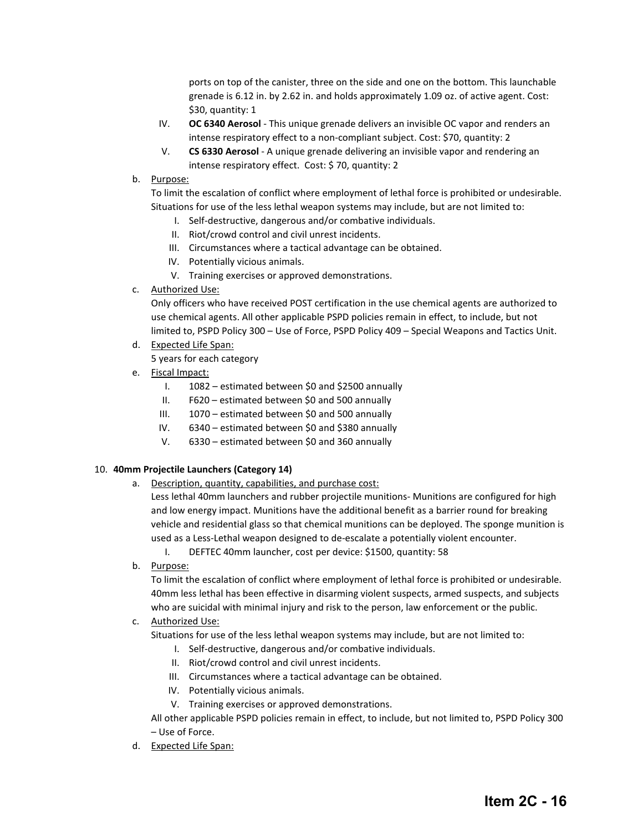ports on top of the canister, three on the side and one on the bottom. This launchable grenade is 6.12 in. by 2.62 in. and holds approximately 1.09 oz. of active agent. Cost: \$30, quantity: 1

- IV. **OC 6340 Aerosol** This unique grenade delivers an invisible OC vapor and renders an intense respiratory effect to a non-compliant subject. Cost: \$70, quantity: 2
- V. **CS 6330 Aerosol** A unique grenade delivering an invisible vapor and rendering an intense respiratory effect. Cost: \$ 70, quantity: 2
- b. Purpose:

To limit the escalation of conflict where employment of lethal force is prohibited or undesirable. Situations for use of the less lethal weapon systems may include, but are not limited to:

- I. Self-destructive, dangerous and/or combative individuals.
- II. Riot/crowd control and civil unrest incidents.
- III. Circumstances where a tactical advantage can be obtained.
- IV. Potentially vicious animals.
- V. Training exercises or approved demonstrations.
- c. Authorized Use:

Only officers who have received POST certification in the use chemical agents are authorized to use chemical agents. All other applicable PSPD policies remain in effect, to include, but not limited to, PSPD Policy 300 – Use of Force, PSPD Policy 409 – Special Weapons and Tactics Unit.

d. Expected Life Span:

5 years for each category

- e. Fiscal Impact:
	- I. 1082 estimated between \$0 and \$2500 annually
	- II. F620 estimated between \$0 and 500 annually
	- III. 1070 estimated between \$0 and 500 annually
	- IV. 6340 estimated between \$0 and \$380 annually
	- V. 6330 estimated between \$0 and 360 annually

#### 10. **40mm Projectile Launchers (Category 14)**

a. Description, quantity, capabilities, and purchase cost:

Less lethal 40mm launchers and rubber projectile munitions- Munitions are configured for high and low energy impact. Munitions have the additional benefit as a barrier round for breaking vehicle and residential glass so that chemical munitions can be deployed. The sponge munition is used as a Less-Lethal weapon designed to de-escalate a potentially violent encounter.

I. DEFTEC 40mm launcher, cost per device: \$1500, quantity: 58

b. Purpose:

To limit the escalation of conflict where employment of lethal force is prohibited or undesirable. 40mm less lethal has been effective in disarming violent suspects, armed suspects, and subjects who are suicidal with minimal injury and risk to the person, law enforcement or the public.

c. Authorized Use:

Situations for use of the less lethal weapon systems may include, but are not limited to:

- I. Self-destructive, dangerous and/or combative individuals.
- II. Riot/crowd control and civil unrest incidents.
- III. Circumstances where a tactical advantage can be obtained.
- IV. Potentially vicious animals.
- V. Training exercises or approved demonstrations.

All other applicable PSPD policies remain in effect, to include, but not limited to, PSPD Policy 300 – Use of Force.

d. Expected Life Span: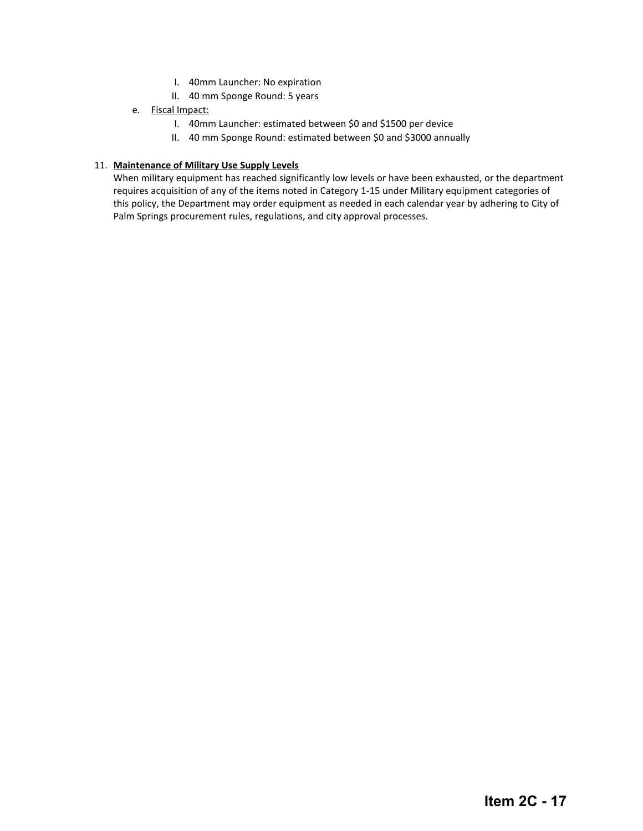- I. 40mm Launcher: No expiration
- II. 40 mm Sponge Round: 5 years
- e. Fiscal Impact:
	- I. 40mm Launcher: estimated between \$0 and \$1500 per device
	- II. 40 mm Sponge Round: estimated between \$0 and \$3000 annually

#### 11. **Maintenance of Military Use Supply Levels**

When military equipment has reached significantly low levels or have been exhausted, or the department requires acquisition of any of the items noted in Category 1-15 under Military equipment categories of this policy, the Department may order equipment as needed in each calendar year by adhering to City of Palm Springs procurement rules, regulations, and city approval processes.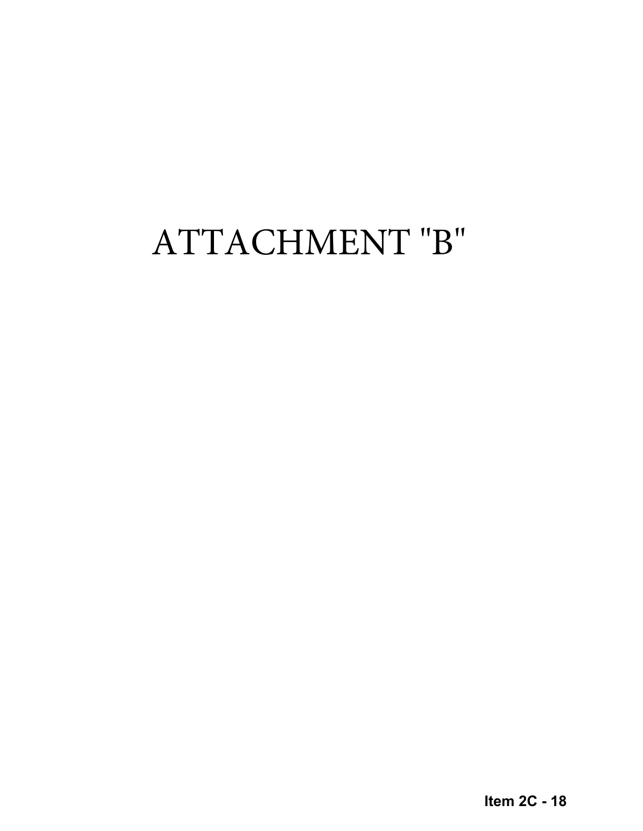# ATTACHMENT "B"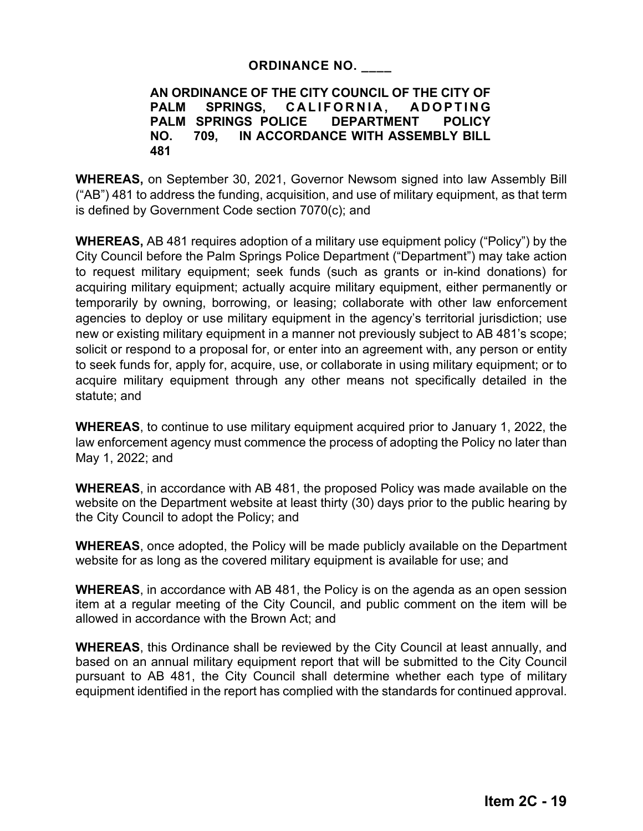# **ORDINANCE NO. \_\_\_\_**

# **AN ORDINANCE OF THE CITY COUNCIL OF THE CITY OF PALM SPRINGS, CALIFORNIA, ADOPTING PALM SPRINGS POLICE DEPARTMENT POLICY NO. 709, IN ACCORDANCE WITH ASSEMBLY BILL 481**

**WHEREAS,** on September 30, 2021, Governor Newsom signed into law Assembly Bill ("AB") 481 to address the funding, acquisition, and use of military equipment, as that term is defined by Government Code section 7070(c); and

**WHEREAS,** AB 481 requires adoption of a military use equipment policy ("Policy") by the City Council before the Palm Springs Police Department ("Department") may take action to request military equipment; seek funds (such as grants or in-kind donations) for acquiring military equipment; actually acquire military equipment, either permanently or temporarily by owning, borrowing, or leasing; collaborate with other law enforcement agencies to deploy or use military equipment in the agency's territorial jurisdiction; use new or existing military equipment in a manner not previously subject to AB 481's scope; solicit or respond to a proposal for, or enter into an agreement with, any person or entity to seek funds for, apply for, acquire, use, or collaborate in using military equipment; or to acquire military equipment through any other means not specifically detailed in the statute; and

**WHEREAS**, to continue to use military equipment acquired prior to January 1, 2022, the law enforcement agency must commence the process of adopting the Policy no later than May 1, 2022; and

**WHEREAS**, in accordance with AB 481, the proposed Policy was made available on the website on the Department website at least thirty (30) days prior to the public hearing by the City Council to adopt the Policy; and

**WHEREAS**, once adopted, the Policy will be made publicly available on the Department website for as long as the covered military equipment is available for use; and

**WHEREAS**, in accordance with AB 481, the Policy is on the agenda as an open session item at a regular meeting of the City Council, and public comment on the item will be allowed in accordance with the Brown Act; and

**WHEREAS**, this Ordinance shall be reviewed by the City Council at least annually, and based on an annual military equipment report that will be submitted to the City Council pursuant to AB 481, the City Council shall determine whether each type of military equipment identified in the report has complied with the standards for continued approval.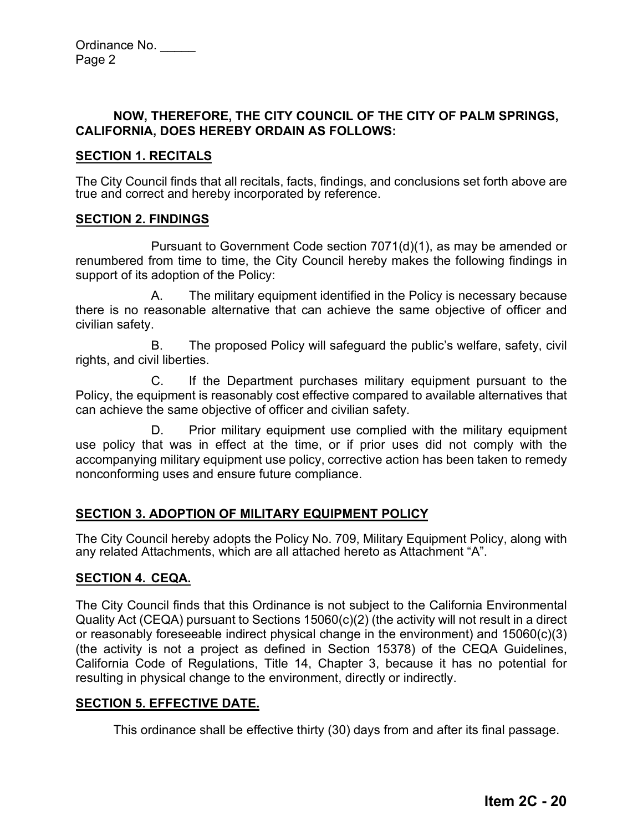# **NOW, THEREFORE, THE CITY COUNCIL OF THE CITY OF PALM SPRINGS, CALIFORNIA, DOES HEREBY ORDAIN AS FOLLOWS:**

# **SECTION 1. RECITALS**

The City Council finds that all recitals, facts, findings, and conclusions set forth above are true and correct and hereby incorporated by reference.

# **SECTION 2. FINDINGS**

Pursuant to Government Code section 7071(d)(1), as may be amended or renumbered from time to time, the City Council hereby makes the following findings in support of its adoption of the Policy:

A. The military equipment identified in the Policy is necessary because there is no reasonable alternative that can achieve the same objective of officer and civilian safety.

B. The proposed Policy will safeguard the public's welfare, safety, civil rights, and civil liberties.

C. If the Department purchases military equipment pursuant to the Policy, the equipment is reasonably cost effective compared to available alternatives that can achieve the same objective of officer and civilian safety.

D. Prior military equipment use complied with the military equipment use policy that was in effect at the time, or if prior uses did not comply with the accompanying military equipment use policy, corrective action has been taken to remedy nonconforming uses and ensure future compliance.

# **SECTION 3. ADOPTION OF MILITARY EQUIPMENT POLICY**

The City Council hereby adopts the Policy No. 709, Military Equipment Policy, along with any related Attachments, which are all attached hereto as Attachment "A".

# **SECTION 4. CEQA.**

The City Council finds that this Ordinance is not subject to the California Environmental Quality Act (CEQA) pursuant to Sections 15060(c)(2) (the activity will not result in a direct or reasonably foreseeable indirect physical change in the environment) and 15060(c)(3) (the activity is not a project as defined in Section 15378) of the CEQA Guidelines, California Code of Regulations, Title 14, Chapter 3, because it has no potential for resulting in physical change to the environment, directly or indirectly.

# **SECTION 5. EFFECTIVE DATE.**

This ordinance shall be effective thirty (30) days from and after its final passage.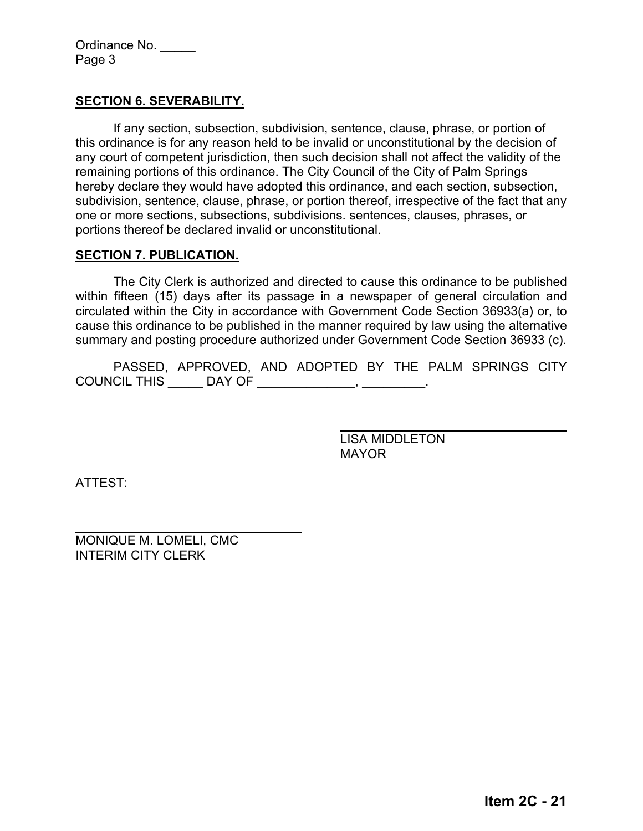Ordinance No. \_\_\_\_\_ Page 3

# **SECTION 6. SEVERABILITY.**

If any section, subsection, subdivision, sentence, clause, phrase, or portion of this ordinance is for any reason held to be invalid or unconstitutional by the decision of any court of competent jurisdiction, then such decision shall not affect the validity of the remaining portions of this ordinance. The City Council of the City of Palm Springs hereby declare they would have adopted this ordinance, and each section, subsection, subdivision, sentence, clause, phrase, or portion thereof, irrespective of the fact that any one or more sections, subsections, subdivisions. sentences, clauses, phrases, or portions thereof be declared invalid or unconstitutional.

# **SECTION 7. PUBLICATION.**

The City Clerk is authorized and directed to cause this ordinance to be published within fifteen (15) days after its passage in a newspaper of general circulation and circulated within the City in accordance with Government Code Section 36933(a) or, to cause this ordinance to be published in the manner required by law using the alternative summary and posting procedure authorized under Government Code Section 36933 (c).

PASSED, APPROVED, AND ADOPTED BY THE PALM SPRINGS CITY COUNCIL THIS \_\_\_\_\_\_ DAY OF \_\_\_\_\_\_\_\_\_\_\_\_\_\_\_, \_\_\_\_\_\_\_\_\_\_.

> LISA MIDDLETON MAYOR

ATTEST:

MONIQUE M. LOMELI, CMC INTERIM CITY CLERK